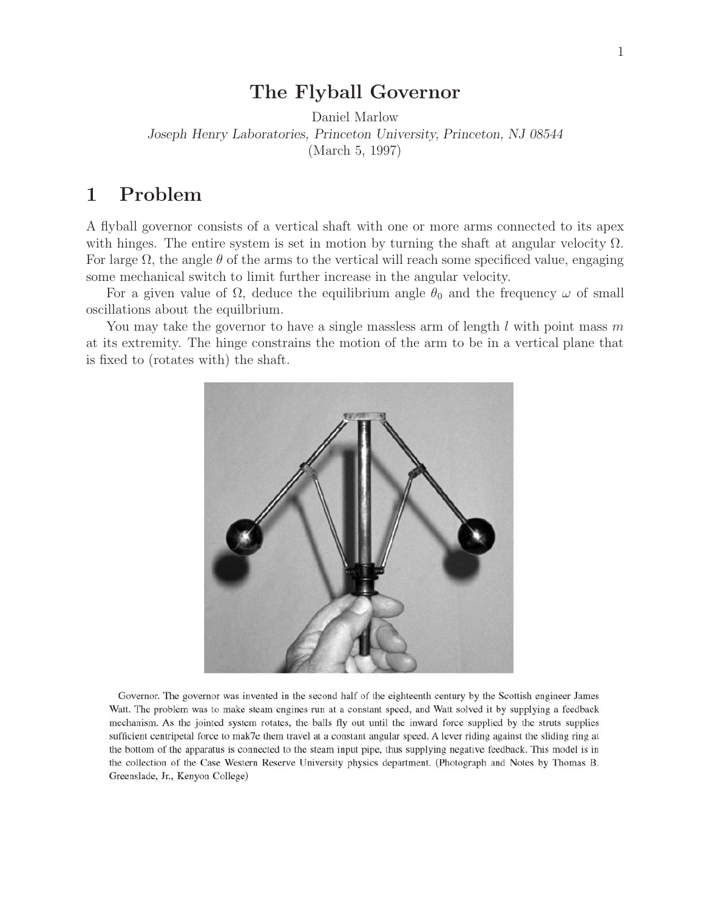## **The Flyball Governor**

Daniel Marlow *Joseph Henry Laboratories, Princeton University, Princeton, NJ 08544* (March 5, 1997)

## **1 Problem**

A flyball governor consists of a vertical shaft with one or more arms connected to its apex with hinges. The entire system is set in motion by turning the shaft at angular velocity  $\Omega$ . For large  $\Omega$ , the angle  $\theta$  of the arms to the vertical will reach some specificed value, engaging some mechanical switch to limit further increase in the angular velocity.

For a given value of  $\Omega$ , deduce the equilibrium angle  $\theta_0$  and the frequency  $\omega$  of small oscillations about the equilbrium.

You may take the governor to have a single massless arm of length l with point mass m at its extremity. The hinge constrains the motion of the arm to be in a vertical plane that is fixed to (rotates with) the shaft.



Governor. The governor was invented in the second half of the eighteenth century by the Scottish engineer James Watt. The problem was to make steam engines run at a constant speed, and Watt solved it by supplying a feedback mechanism. As the jointed system rotates, the balls fly out until the inward force supplied by the struts supplies sufficient centripetal force to mak7e them travel at a constant angular speed. A lever riding against the sliding ring at the bottom of the apparatus is connected to the steam input pipe, thus supplying negative feedback. This model is in the collection of the Case Western Reserve University physics department. (Photograph and Notes by Thomas B. Greenslade, Jr., Kenyon College)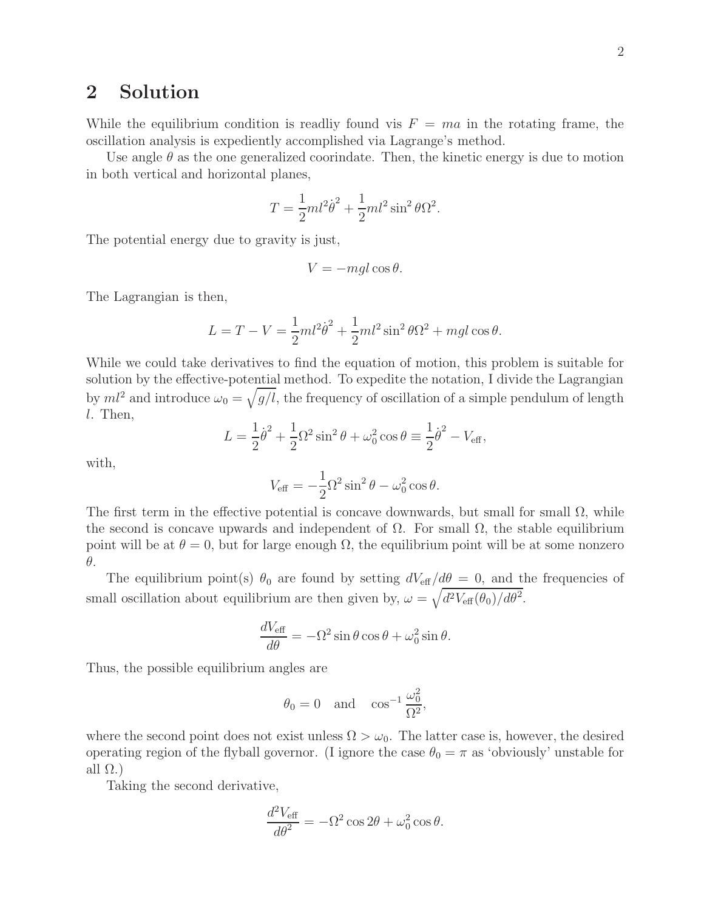## **2 Solution**

While the equilibrium condition is readlig found vis  $F = ma$  in the rotating frame, the oscillation analysis is expediently accomplished via Lagrange's method.

Use angle  $\theta$  as the one generalized coorindate. Then, the kinetic energy is due to motion in both vertical and horizontal planes,

$$
T = \frac{1}{2}ml^2\dot{\theta}^2 + \frac{1}{2}ml^2\sin^2\theta\Omega^2.
$$

The potential energy due to gravity is just,

$$
V = -mgl\cos\theta.
$$

The Lagrangian is then,

$$
L = T - V = \frac{1}{2}ml^2\dot{\theta}^2 + \frac{1}{2}ml^2\sin^2\theta\Omega^2 + mgl\cos\theta.
$$

While we could take derivatives to find the equation of motion, this problem is suitable for solution by the effective-potential method. To expedite the notation, I divide the Lagrangian by  $ml^2$  and introduce  $\omega_0 = \sqrt{g/l}$ , the frequency of oscillation of a simple pendulum of length l. Then,

$$
L = \frac{1}{2}\dot{\theta}^{2} + \frac{1}{2}\Omega^{2}\sin^{2}\theta + \omega_{0}^{2}\cos\theta \equiv \frac{1}{2}\dot{\theta}^{2} - V_{\text{eff}},
$$

with,

$$
V_{\text{eff}} = -\frac{1}{2}\Omega^2 \sin^2 \theta - \omega_0^2 \cos \theta.
$$

The first term in the effective potential is concave downwards, but small for small  $\Omega$ , while the second is concave upwards and independent of  $\Omega$ . For small  $\Omega$ , the stable equilibrium point will be at  $\theta = 0$ , but for large enough  $\Omega$ , the equilibrium point will be at some nonzero θ.

The equilibrium point(s)  $\theta_0$  are found by setting  $dV_{\text{eff}}/d\theta = 0$ , and the frequencies of small oscillation about equilibrium are then given by,  $\omega = \sqrt{d^2 V_{\text{eff}}(\theta_0)/d\theta^2}$ .

$$
\frac{dV_{\text{eff}}}{d\theta} = -\Omega^2 \sin \theta \cos \theta + \omega_0^2 \sin \theta.
$$

Thus, the possible equilibrium angles are

$$
\theta_0 = 0
$$
 and  $\cos^{-1} \frac{\omega_0^2}{\Omega^2}$ ,

where the second point does not exist unless  $\Omega > \omega_0$ . The latter case is, however, the desired operating region of the flyball governor. (I ignore the case  $\theta_0 = \pi$  as 'obviously' unstable for all  $\Omega$ .)

Taking the second derivative,

$$
\frac{d^2V_{\text{eff}}}{d\theta^2} = -\Omega^2 \cos 2\theta + \omega_0^2 \cos \theta.
$$